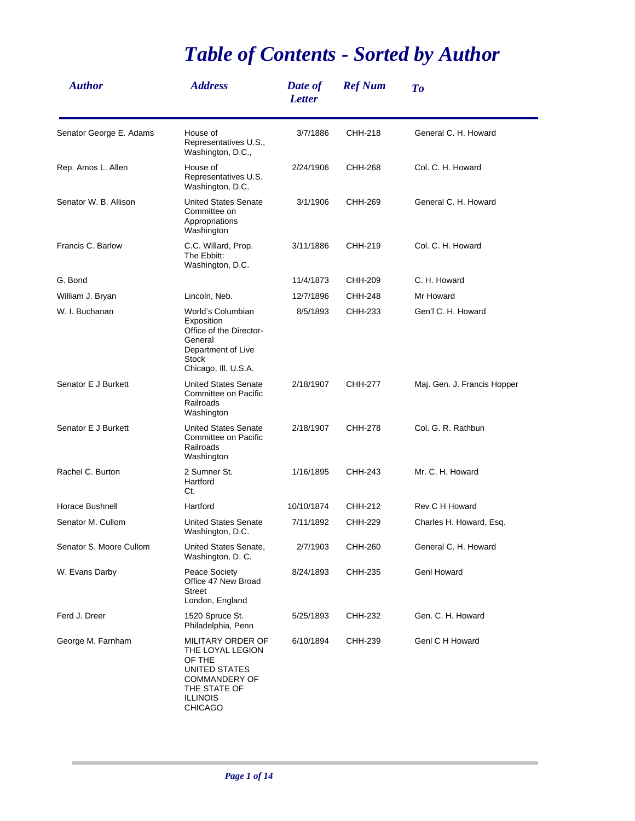## *Table of Contents - Sorted by Author*

| <b>Author</b>           | <b>Address</b>                                                                                                                         | Date of<br><b>Letter</b> | <b>Ref Num</b> | To                          |
|-------------------------|----------------------------------------------------------------------------------------------------------------------------------------|--------------------------|----------------|-----------------------------|
| Senator George E. Adams | House of<br>Representatives U.S.,<br>Washington, D.C.,                                                                                 | 3/7/1886                 | CHH-218        | General C. H. Howard        |
| Rep. Amos L. Allen      | House of<br>Representatives U.S.<br>Washington, D.C.                                                                                   | 2/24/1906                | CHH-268        | Col. C. H. Howard           |
| Senator W. B. Allison   | <b>United States Senate</b><br>Committee on<br>Appropriations<br>Washington                                                            | 3/1/1906                 | CHH-269        | General C. H. Howard        |
| Francis C. Barlow       | C.C. Willard, Prop.<br>The Ebbitt:<br>Washington, D.C.                                                                                 | 3/11/1886                | CHH-219        | Col. C. H. Howard           |
| G. Bond                 |                                                                                                                                        | 11/4/1873                | CHH-209        | C. H. Howard                |
| William J. Bryan        | Lincoln, Neb.                                                                                                                          | 12/7/1896                | CHH-248        | Mr Howard                   |
| W. I. Buchanan          | World's Columbian<br>Exposition<br>Office of the Director-<br>General<br>Department of Live<br><b>Stock</b><br>Chicago, III. U.S.A.    | 8/5/1893                 | CHH-233        | Gen'l C. H. Howard          |
| Senator E J Burkett     | <b>United States Senate</b><br>Committee on Pacific<br>Railroads<br>Washington                                                         | 2/18/1907                | CHH-277        | Maj. Gen. J. Francis Hopper |
| Senator E J Burkett     | <b>United States Senate</b><br>Committee on Pacific<br>Railroads<br>Washington                                                         | 2/18/1907                | CHH-278        | Col. G. R. Rathbun          |
| Rachel C. Burton        | 2 Sumner St.<br>Hartford<br>Ct.                                                                                                        | 1/16/1895                | CHH-243        | Mr. C. H. Howard            |
| Horace Bushnell         | Hartford                                                                                                                               | 10/10/1874               | CHH-212        | Rev C H Howard              |
| Senator M. Cullom       | <b>United States Senate</b><br>Washington, D.C.                                                                                        | 7/11/1892                | CHH-229        | Charles H. Howard, Esq.     |
| Senator S. Moore Cullom | United States Senate,<br>Washington, D. C.                                                                                             | 2/7/1903                 | CHH-260        | General C. H. Howard        |
| W. Evans Darby          | Peace Society<br>Office 47 New Broad<br><b>Street</b><br>London, England                                                               | 8/24/1893                | CHH-235        | Genl Howard                 |
| Ferd J. Dreer           | 1520 Spruce St.<br>Philadelphia, Penn                                                                                                  | 5/25/1893                | CHH-232        | Gen. C. H. Howard           |
| George M. Farnham       | MILITARY ORDER OF<br>THE LOYAL LEGION<br>OF THE<br>UNITED STATES<br><b>COMMANDERY OF</b><br>THE STATE OF<br><b>ILLINOIS</b><br>CHICAGO | 6/10/1894                | CHH-239        | Genl C H Howard             |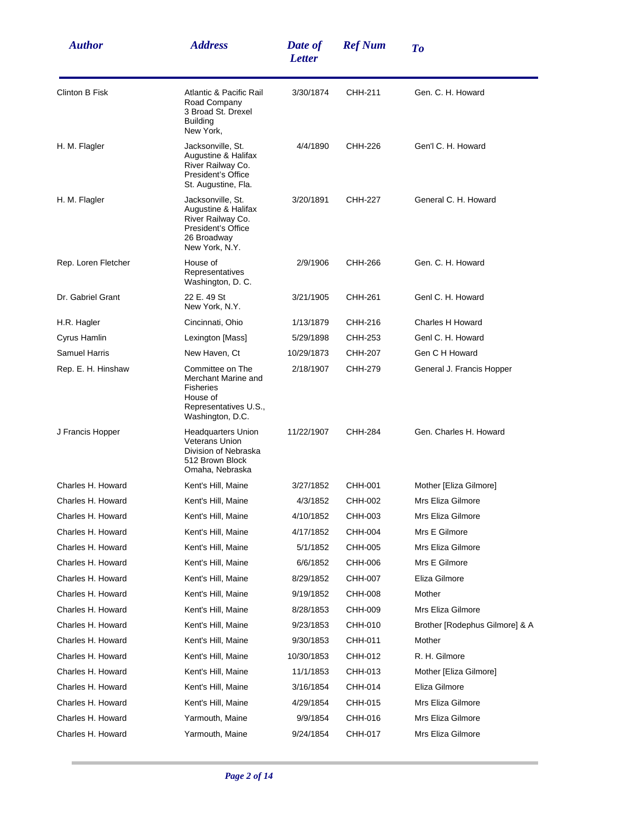| <b>Author</b>         | <b>Address</b>                                                                                                       | Date of<br><b>Letter</b> | <b>Ref Num</b> | To                             |
|-----------------------|----------------------------------------------------------------------------------------------------------------------|--------------------------|----------------|--------------------------------|
| <b>Clinton B Fisk</b> | Atlantic & Pacific Rail<br>Road Company<br>3 Broad St. Drexel<br><b>Building</b><br>New York,                        | 3/30/1874                | CHH-211        | Gen. C. H. Howard              |
| H. M. Flagler         | Jacksonville, St.<br>Augustine & Halifax<br>River Railway Co.<br>President's Office<br>St. Augustine, Fla.           | 4/4/1890                 | CHH-226        | Gen'l C. H. Howard             |
| H. M. Flagler         | Jacksonville, St.<br>Augustine & Halifax<br>River Railway Co.<br>President's Office<br>26 Broadway<br>New York, N.Y. | 3/20/1891                | CHH-227        | General C. H. Howard           |
| Rep. Loren Fletcher   | House of<br>Representatives<br>Washington, D. C.                                                                     | 2/9/1906                 | CHH-266        | Gen. C. H. Howard              |
| Dr. Gabriel Grant     | 22 E. 49 St<br>New York, N.Y.                                                                                        | 3/21/1905                | CHH-261        | Genl C. H. Howard              |
| H.R. Hagler           | Cincinnati, Ohio                                                                                                     | 1/13/1879                | CHH-216        | Charles H Howard               |
| Cyrus Hamlin          | Lexington [Mass]                                                                                                     | 5/29/1898                | CHH-253        | Genl C. H. Howard              |
| <b>Samuel Harris</b>  | New Haven, Ct                                                                                                        | 10/29/1873               | CHH-207        | Gen C H Howard                 |
| Rep. E. H. Hinshaw    | Committee on The<br>Merchant Marine and<br><b>Fisheries</b><br>House of<br>Representatives U.S.,<br>Washington, D.C. | 2/18/1907                | CHH-279        | General J. Francis Hopper      |
| J Francis Hopper      | <b>Headquarters Union</b><br><b>Veterans Union</b><br>Division of Nebraska<br>512 Brown Block<br>Omaha, Nebraska     | 11/22/1907               | CHH-284        | Gen. Charles H. Howard         |
| Charles H. Howard     | Kent's Hill, Maine                                                                                                   | 3/27/1852                | CHH-001        | Mother [Eliza Gilmore]         |
| Charles H. Howard     | Kent's Hill, Maine                                                                                                   | 4/3/1852                 | CHH-002        | Mrs Eliza Gilmore              |
| Charles H. Howard     | Kent's Hill, Maine                                                                                                   | 4/10/1852                | CHH-003        | Mrs Eliza Gilmore              |
| Charles H. Howard     | Kent's Hill, Maine                                                                                                   | 4/17/1852                | CHH-004        | Mrs E Gilmore                  |
| Charles H. Howard     | Kent's Hill, Maine                                                                                                   | 5/1/1852                 | CHH-005        | Mrs Eliza Gilmore              |
| Charles H. Howard     | Kent's Hill, Maine                                                                                                   | 6/6/1852                 | CHH-006        | Mrs E Gilmore                  |
| Charles H. Howard     | Kent's Hill, Maine                                                                                                   | 8/29/1852                | CHH-007        | Eliza Gilmore                  |
| Charles H. Howard     | Kent's Hill, Maine                                                                                                   | 9/19/1852                | CHH-008        | Mother                         |
| Charles H. Howard     | Kent's Hill, Maine                                                                                                   | 8/28/1853                | CHH-009        | Mrs Eliza Gilmore              |
| Charles H. Howard     | Kent's Hill, Maine                                                                                                   | 9/23/1853                | CHH-010        | Brother [Rodephus Gilmore] & A |
| Charles H. Howard     | Kent's Hill, Maine                                                                                                   | 9/30/1853                | CHH-011        | Mother                         |
| Charles H. Howard     | Kent's Hill, Maine                                                                                                   | 10/30/1853               | CHH-012        | R. H. Gilmore                  |
| Charles H. Howard     | Kent's Hill, Maine                                                                                                   | 11/1/1853                | CHH-013        | Mother [Eliza Gilmore]         |
| Charles H. Howard     | Kent's Hill, Maine                                                                                                   | 3/16/1854                | CHH-014        | Eliza Gilmore                  |
| Charles H. Howard     | Kent's Hill, Maine                                                                                                   | 4/29/1854                | CHH-015        | Mrs Eliza Gilmore              |
| Charles H. Howard     | Yarmouth, Maine                                                                                                      | 9/9/1854                 | CHH-016        | Mrs Eliza Gilmore              |
| Charles H. Howard     | Yarmouth, Maine                                                                                                      | 9/24/1854                | CHH-017        | Mrs Eliza Gilmore              |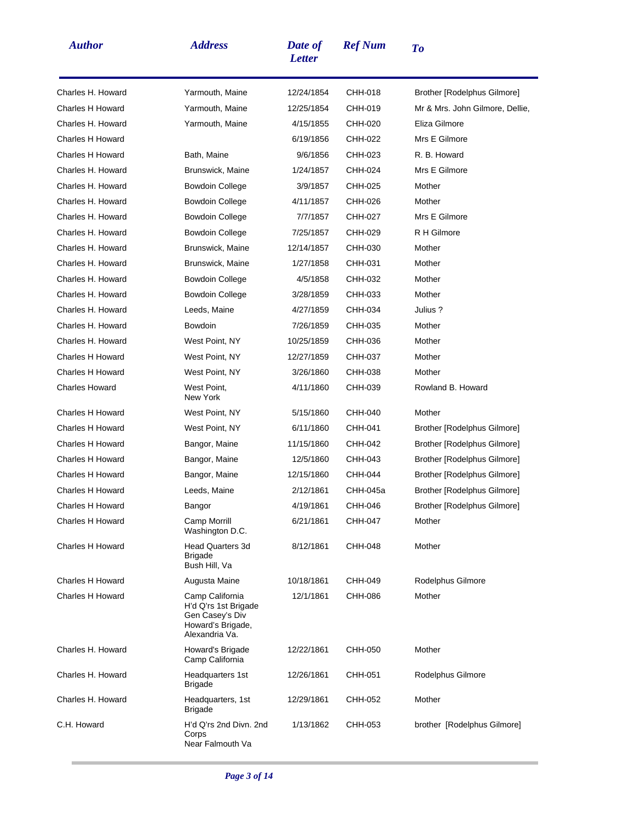| <b>Author</b>           | <b>Address</b>                                                                                    | Date of<br><b>Letter</b> | <b>Ref Num</b> | To                                 |
|-------------------------|---------------------------------------------------------------------------------------------------|--------------------------|----------------|------------------------------------|
| Charles H. Howard       | Yarmouth, Maine                                                                                   | 12/24/1854               | CHH-018        | Brother [Rodelphus Gilmore]        |
| <b>Charles H Howard</b> | Yarmouth, Maine                                                                                   | 12/25/1854               | CHH-019        | Mr & Mrs. John Gilmore, Dellie,    |
| Charles H. Howard       | Yarmouth, Maine                                                                                   | 4/15/1855                | CHH-020        | Eliza Gilmore                      |
| <b>Charles H Howard</b> |                                                                                                   | 6/19/1856                | CHH-022        | Mrs E Gilmore                      |
| <b>Charles H Howard</b> | Bath, Maine                                                                                       | 9/6/1856                 | CHH-023        | R. B. Howard                       |
| Charles H. Howard       | Brunswick, Maine                                                                                  | 1/24/1857                | CHH-024        | Mrs E Gilmore                      |
| Charles H. Howard       | <b>Bowdoin College</b>                                                                            | 3/9/1857                 | CHH-025        | Mother                             |
| Charles H. Howard       | <b>Bowdoin College</b>                                                                            | 4/11/1857                | CHH-026        | Mother                             |
| Charles H. Howard       | <b>Bowdoin College</b>                                                                            | 7/7/1857                 | CHH-027        | Mrs E Gilmore                      |
| Charles H. Howard       | <b>Bowdoin College</b>                                                                            | 7/25/1857                | CHH-029        | R H Gilmore                        |
| Charles H. Howard       | Brunswick, Maine                                                                                  | 12/14/1857               | CHH-030        | Mother                             |
| Charles H. Howard       | Brunswick, Maine                                                                                  | 1/27/1858                | CHH-031        | Mother                             |
| Charles H. Howard       | <b>Bowdoin College</b>                                                                            | 4/5/1858                 | CHH-032        | Mother                             |
| Charles H. Howard       | Bowdoin College                                                                                   | 3/28/1859                | CHH-033        | Mother                             |
| Charles H. Howard       | Leeds, Maine                                                                                      | 4/27/1859                | CHH-034        | Julius ?                           |
| Charles H. Howard       | Bowdoin                                                                                           | 7/26/1859                | CHH-035        | Mother                             |
| Charles H. Howard       | West Point, NY                                                                                    | 10/25/1859               | CHH-036        | Mother                             |
| <b>Charles H Howard</b> | West Point, NY                                                                                    | 12/27/1859               | CHH-037        | Mother                             |
| <b>Charles H Howard</b> | West Point, NY                                                                                    | 3/26/1860                | CHH-038        | Mother                             |
| <b>Charles Howard</b>   | West Point,<br>New York                                                                           | 4/11/1860                | CHH-039        | Rowland B. Howard                  |
| <b>Charles H Howard</b> | West Point, NY                                                                                    | 5/15/1860                | CHH-040        | Mother                             |
| <b>Charles H Howard</b> | West Point, NY                                                                                    | 6/11/1860                | CHH-041        | Brother [Rodelphus Gilmore]        |
| <b>Charles H Howard</b> | Bangor, Maine                                                                                     | 11/15/1860               | CHH-042        | Brother [Rodelphus Gilmore]        |
| <b>Charles H Howard</b> | Bangor, Maine                                                                                     | 12/5/1860                | CHH-043        | Brother [Rodelphus Gilmore]        |
| <b>Charles H Howard</b> | Bangor, Maine                                                                                     | 12/15/1860               | CHH-044        | Brother [Rodelphus Gilmore]        |
| <b>Charles H Howard</b> | Leeds, Maine                                                                                      | 2/12/1861                | CHH-045a       | Brother [Rodelphus Gilmore]        |
| <b>Charles H Howard</b> | Bangor                                                                                            | 4/19/1861                | CHH-046        | <b>Brother [Rodelphus Gilmore]</b> |
| <b>Charles H Howard</b> | Camp Morrill<br>Washington D.C.                                                                   | 6/21/1861                | CHH-047        | Mother                             |
| <b>Charles H Howard</b> | <b>Head Quarters 3d</b><br><b>Brigade</b><br>Bush Hill, Va                                        | 8/12/1861                | CHH-048        | Mother                             |
| Charles H Howard        | Augusta Maine                                                                                     | 10/18/1861               | CHH-049        | Rodelphus Gilmore                  |
| Charles H Howard        | Camp California<br>H'd Q'rs 1st Brigade<br>Gen Casey's Div<br>Howard's Brigade,<br>Alexandria Va. | 12/1/1861                | CHH-086        | Mother                             |
| Charles H. Howard       | Howard's Brigade<br>Camp California                                                               | 12/22/1861               | CHH-050        | Mother                             |
| Charles H. Howard       | Headquarters 1st<br><b>Brigade</b>                                                                | 12/26/1861               | CHH-051        | Rodelphus Gilmore                  |
| Charles H. Howard       | Headquarters, 1st<br><b>Brigade</b>                                                               | 12/29/1861               | CHH-052        | Mother                             |
| C.H. Howard             | H'd Q'rs 2nd Divn. 2nd<br>Corps<br>Near Falmouth Va                                               | 1/13/1862                | CHH-053        | brother [Rodelphus Gilmore]        |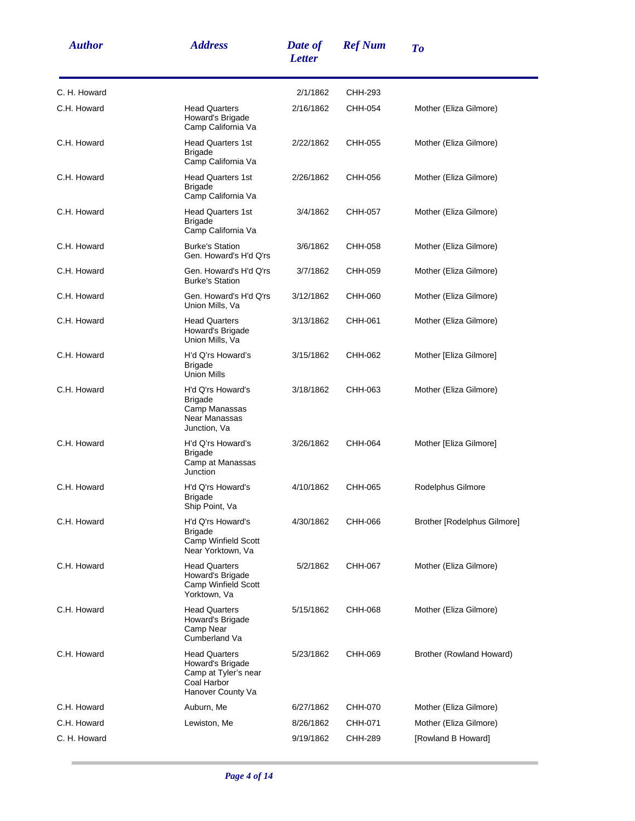| <b>Author</b> | <b>Address</b>                                                                                       | Date of<br><b>Letter</b> | <b>Ref Num</b> | To                          |
|---------------|------------------------------------------------------------------------------------------------------|--------------------------|----------------|-----------------------------|
| C. H. Howard  |                                                                                                      | 2/1/1862                 | CHH-293        |                             |
| C.H. Howard   | <b>Head Quarters</b><br>Howard's Brigade<br>Camp California Va                                       | 2/16/1862                | CHH-054        | Mother (Eliza Gilmore)      |
| C.H. Howard   | <b>Head Quarters 1st</b><br><b>Brigade</b><br>Camp California Va                                     | 2/22/1862                | CHH-055        | Mother (Eliza Gilmore)      |
| C.H. Howard   | <b>Head Quarters 1st</b><br><b>Brigade</b><br>Camp California Va                                     | 2/26/1862                | CHH-056        | Mother (Eliza Gilmore)      |
| C.H. Howard   | <b>Head Quarters 1st</b><br><b>Brigade</b><br>Camp California Va                                     | 3/4/1862                 | CHH-057        | Mother (Eliza Gilmore)      |
| C.H. Howard   | <b>Burke's Station</b><br>Gen. Howard's H'd Q'rs                                                     | 3/6/1862                 | CHH-058        | Mother (Eliza Gilmore)      |
| C.H. Howard   | Gen. Howard's H'd Q'rs<br><b>Burke's Station</b>                                                     | 3/7/1862                 | CHH-059        | Mother (Eliza Gilmore)      |
| C.H. Howard   | Gen. Howard's H'd Q'rs<br>Union Mills, Va                                                            | 3/12/1862                | CHH-060        | Mother (Eliza Gilmore)      |
| C.H. Howard   | <b>Head Quarters</b><br>Howard's Brigade<br>Union Mills, Va                                          | 3/13/1862                | CHH-061        | Mother (Eliza Gilmore)      |
| C.H. Howard   | H'd Q'rs Howard's<br><b>Brigade</b><br><b>Union Mills</b>                                            | 3/15/1862                | CHH-062        | Mother [Eliza Gilmore]      |
| C.H. Howard   | H'd Q'rs Howard's<br><b>Brigade</b><br>Camp Manassas<br>Near Manassas<br>Junction, Va                | 3/18/1862                | CHH-063        | Mother (Eliza Gilmore)      |
| C.H. Howard   | H'd Q'rs Howard's<br><b>Brigade</b><br>Camp at Manassas<br>Junction                                  | 3/26/1862                | CHH-064        | Mother [Eliza Gilmore]      |
| C.H. Howard   | H'd Q'rs Howard's<br><b>Brigade</b><br>Ship Point, Va                                                | 4/10/1862                | CHH-065        | Rodelphus Gilmore           |
| C.H. Howard   | H'd Q'rs Howard's<br><b>Brigade</b><br>Camp Winfield Scott<br>Near Yorktown, Va                      | 4/30/1862                | CHH-066        | Brother [Rodelphus Gilmore] |
| C.H. Howard   | <b>Head Quarters</b><br>Howard's Brigade<br>Camp Winfield Scott<br>Yorktown, Va                      | 5/2/1862                 | CHH-067        | Mother (Eliza Gilmore)      |
| C.H. Howard   | <b>Head Quarters</b><br>Howard's Brigade<br>Camp Near<br>Cumberland Va                               | 5/15/1862                | CHH-068        | Mother (Eliza Gilmore)      |
| C.H. Howard   | <b>Head Quarters</b><br>Howard's Brigade<br>Camp at Tyler's near<br>Coal Harbor<br>Hanover County Va | 5/23/1862                | CHH-069        | Brother (Rowland Howard)    |
| C.H. Howard   | Auburn, Me                                                                                           | 6/27/1862                | CHH-070        | Mother (Eliza Gilmore)      |
| C.H. Howard   | Lewiston, Me                                                                                         | 8/26/1862                | CHH-071        | Mother (Eliza Gilmore)      |
| C. H. Howard  |                                                                                                      | 9/19/1862                | CHH-289        | [Rowland B Howard]          |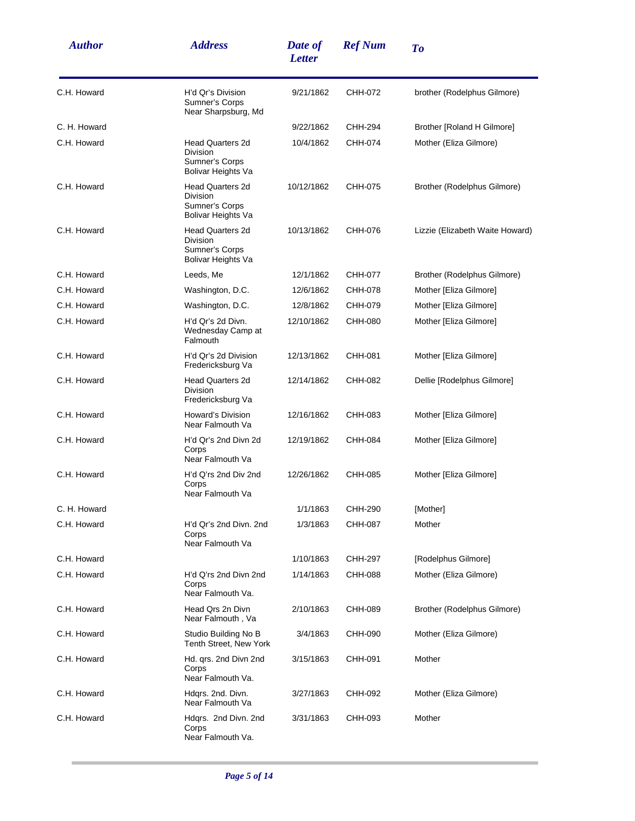| <b>Author</b> | <b>Address</b>                                                                     | Date of<br><b>Letter</b> | <b>Ref Num</b> | To                              |
|---------------|------------------------------------------------------------------------------------|--------------------------|----------------|---------------------------------|
| C.H. Howard   | H'd Qr's Division<br>Sumner's Corps<br>Near Sharpsburg, Md                         | 9/21/1862                | CHH-072        | brother (Rodelphus Gilmore)     |
| C. H. Howard  |                                                                                    | 9/22/1862                | CHH-294        | Brother [Roland H Gilmore]      |
| C.H. Howard   | <b>Head Quarters 2d</b><br><b>Division</b><br>Sumner's Corps<br>Bolivar Heights Va | 10/4/1862                | CHH-074        | Mother (Eliza Gilmore)          |
| C.H. Howard   | <b>Head Quarters 2d</b><br><b>Division</b><br>Sumner's Corps<br>Bolivar Heights Va | 10/12/1862               | CHH-075        | Brother (Rodelphus Gilmore)     |
| C.H. Howard   | <b>Head Quarters 2d</b><br><b>Division</b><br>Sumner's Corps<br>Bolivar Heights Va | 10/13/1862               | CHH-076        | Lizzie (Elizabeth Waite Howard) |
| C.H. Howard   | Leeds, Me                                                                          | 12/1/1862                | CHH-077        | Brother (Rodelphus Gilmore)     |
| C.H. Howard   | Washington, D.C.                                                                   | 12/6/1862                | CHH-078        | Mother [Eliza Gilmore]          |
| C.H. Howard   | Washington, D.C.                                                                   | 12/8/1862                | CHH-079        | Mother [Eliza Gilmore]          |
| C.H. Howard   | H'd Qr's 2d Divn.<br>Wednesday Camp at<br>Falmouth                                 | 12/10/1862               | CHH-080        | Mother [Eliza Gilmore]          |
| C.H. Howard   | H'd Qr's 2d Division<br>Fredericksburg Va                                          | 12/13/1862               | CHH-081        | Mother [Eliza Gilmore]          |
| C.H. Howard   | <b>Head Quarters 2d</b><br>Division<br>Fredericksburg Va                           | 12/14/1862               | CHH-082        | Dellie [Rodelphus Gilmore]      |
| C.H. Howard   | Howard's Division<br>Near Falmouth Va                                              | 12/16/1862               | CHH-083        | Mother [Eliza Gilmore]          |
| C.H. Howard   | H'd Qr's 2nd Divn 2d<br>Corps<br>Near Falmouth Va                                  | 12/19/1862               | CHH-084        | Mother [Eliza Gilmore]          |
| C.H. Howard   | H'd Q'rs 2nd Div 2nd<br>Corps<br>Near Falmouth Va                                  | 12/26/1862               | CHH-085        | Mother [Eliza Gilmore]          |
| C. H. Howard  |                                                                                    | 1/1/1863                 | CHH-290        | [Mother]                        |
| C.H. Howard   | H'd Qr's 2nd Divn. 2nd<br>Corps<br>Near Falmouth Va                                | 1/3/1863                 | CHH-087        | Mother                          |
| C.H. Howard   |                                                                                    | 1/10/1863                | CHH-297        | [Rodelphus Gilmore]             |
| C.H. Howard   | H'd Q'rs 2nd Divn 2nd<br>Corps<br>Near Falmouth Va.                                | 1/14/1863                | CHH-088        | Mother (Eliza Gilmore)          |
| C.H. Howard   | Head Qrs 2n Divn<br>Near Falmouth, Va                                              | 2/10/1863                | CHH-089        | Brother (Rodelphus Gilmore)     |
| C.H. Howard   | Studio Building No B<br>Tenth Street, New York                                     | 3/4/1863                 | CHH-090        | Mother (Eliza Gilmore)          |
| C.H. Howard   | Hd. qrs. 2nd Divn 2nd<br>Corps<br>Near Falmouth Va.                                | 3/15/1863                | CHH-091        | Mother                          |
| C.H. Howard   | Hdgrs. 2nd. Divn.<br>Near Falmouth Va                                              | 3/27/1863                | CHH-092        | Mother (Eliza Gilmore)          |
| C.H. Howard   | Hdqrs. 2nd Divn. 2nd<br>Corps<br>Near Falmouth Va.                                 | 3/31/1863                | CHH-093        | Mother                          |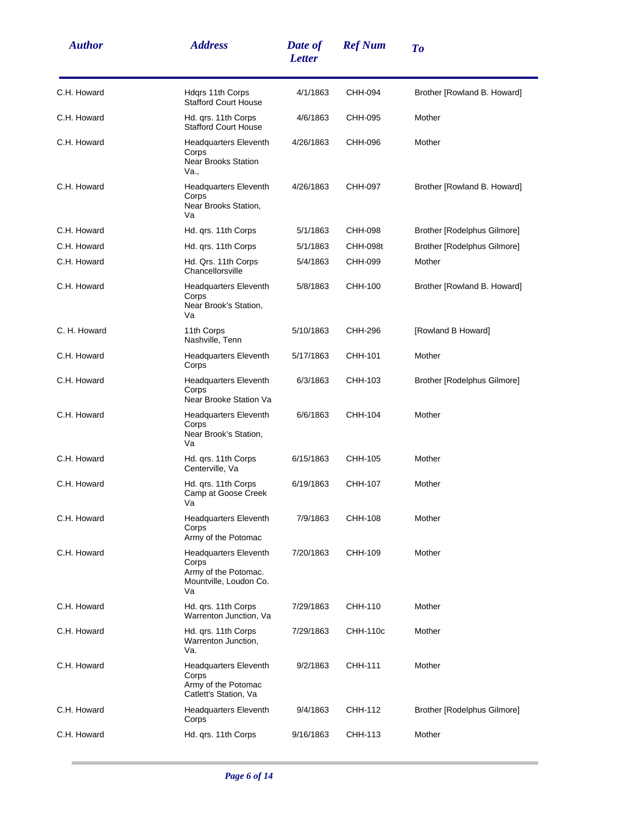| <b>Author</b> | <b>Address</b>                                                                                | Date of<br><b>Letter</b> | <b>Ref Num</b>  | <b>To</b>                          |
|---------------|-----------------------------------------------------------------------------------------------|--------------------------|-----------------|------------------------------------|
| C.H. Howard   | Hdgrs 11th Corps<br><b>Stafford Court House</b>                                               | 4/1/1863                 | CHH-094         | Brother [Rowland B. Howard]        |
| C.H. Howard   | Hd. qrs. 11th Corps<br><b>Stafford Court House</b>                                            | 4/6/1863                 | CHH-095         | Mother                             |
| C.H. Howard   | <b>Headquarters Eleventh</b><br>Corps<br><b>Near Brooks Station</b><br>Va.,                   | 4/26/1863                | CHH-096         | Mother                             |
| C.H. Howard   | <b>Headquarters Eleventh</b><br>Corps<br>Near Brooks Station,<br>Va                           | 4/26/1863                | CHH-097         | Brother [Rowland B. Howard]        |
| C.H. Howard   | Hd. qrs. 11th Corps                                                                           | 5/1/1863                 | CHH-098         | Brother [Rodelphus Gilmore]        |
| C.H. Howard   | Hd. qrs. 11th Corps                                                                           | 5/1/1863                 | <b>CHH-098t</b> | <b>Brother [Rodelphus Gilmore]</b> |
| C.H. Howard   | Hd. Qrs. 11th Corps<br>Chancellorsville                                                       | 5/4/1863                 | CHH-099         | Mother                             |
| C.H. Howard   | <b>Headquarters Eleventh</b><br>Corps<br>Near Brook's Station,<br>Va                          | 5/8/1863                 | CHH-100         | Brother [Rowland B. Howard]        |
| C. H. Howard  | 11th Corps<br>Nashville, Tenn                                                                 | 5/10/1863                | CHH-296         | [Rowland B Howard]                 |
| C.H. Howard   | <b>Headquarters Eleventh</b><br>Corps                                                         | 5/17/1863                | CHH-101         | Mother                             |
| C.H. Howard   | <b>Headquarters Eleventh</b><br>Corps<br>Near Brooke Station Va                               | 6/3/1863                 | CHH-103         | Brother [Rodelphus Gilmore]        |
| C.H. Howard   | <b>Headquarters Eleventh</b><br>Corps<br>Near Brook's Station,<br>Va                          | 6/6/1863                 | CHH-104         | Mother                             |
| C.H. Howard   | Hd. qrs. 11th Corps<br>Centerville, Va                                                        | 6/15/1863                | CHH-105         | Mother                             |
| C.H. Howard   | Hd. qrs. 11th Corps<br>Camp at Goose Creek<br>Va                                              | 6/19/1863                | CHH-107         | Mother                             |
| C.H. Howard   | <b>Headquarters Eleventh</b><br>Corps<br>Army of the Potomac                                  | 7/9/1863                 | CHH-108         | Mother                             |
| C.H. Howard   | <b>Headquarters Eleventh</b><br>Corps<br>Army of the Potomac.<br>Mountville, Loudon Co.<br>Va | 7/20/1863                | CHH-109         | Mother                             |
| C.H. Howard   | Hd. qrs. 11th Corps<br>Warrenton Junction, Va                                                 | 7/29/1863                | CHH-110         | Mother                             |
| C.H. Howard   | Hd. qrs. 11th Corps<br>Warrenton Junction,<br>Va.                                             | 7/29/1863                | CHH-110c        | Mother                             |
| C.H. Howard   | <b>Headquarters Eleventh</b><br>Corps<br>Army of the Potomac<br>Catlett's Station, Va         | 9/2/1863                 | CHH-111         | Mother                             |
| C.H. Howard   | <b>Headquarters Eleventh</b><br>Corps                                                         | 9/4/1863                 | CHH-112         | Brother [Rodelphus Gilmore]        |
| C.H. Howard   | Hd. qrs. 11th Corps                                                                           | 9/16/1863                | CHH-113         | Mother                             |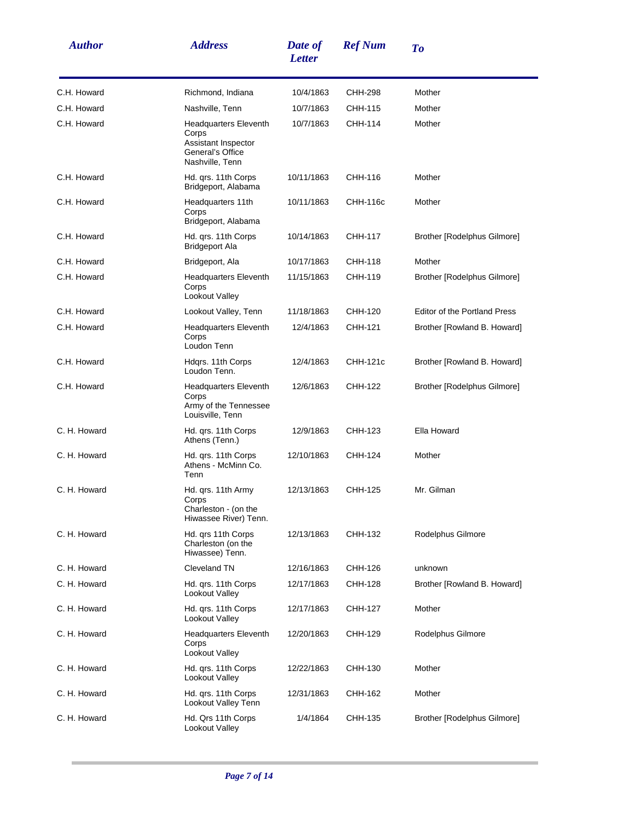| <b>Author</b> | <b>Address</b>                                                                                      | Date of<br><b>Letter</b> | <b>Ref Num</b> | To                                  |
|---------------|-----------------------------------------------------------------------------------------------------|--------------------------|----------------|-------------------------------------|
| C.H. Howard   | Richmond, Indiana                                                                                   | 10/4/1863                | CHH-298        | Mother                              |
| C.H. Howard   | Nashville, Tenn                                                                                     | 10/7/1863                | CHH-115        | Mother                              |
| C.H. Howard   | <b>Headquarters Eleventh</b><br>Corps<br>Assistant Inspector<br>General's Office<br>Nashville, Tenn | 10/7/1863                | CHH-114        | Mother                              |
| C.H. Howard   | Hd. qrs. 11th Corps<br>Bridgeport, Alabama                                                          | 10/11/1863               | CHH-116        | Mother                              |
| C.H. Howard   | Headquarters 11th<br>Corps<br>Bridgeport, Alabama                                                   | 10/11/1863               | CHH-116c       | Mother                              |
| C.H. Howard   | Hd. qrs. 11th Corps<br><b>Bridgeport Ala</b>                                                        | 10/14/1863               | CHH-117        | Brother [Rodelphus Gilmore]         |
| C.H. Howard   | Bridgeport, Ala                                                                                     | 10/17/1863               | CHH-118        | Mother                              |
| C.H. Howard   | <b>Headquarters Eleventh</b><br>Corps<br>Lookout Valley                                             | 11/15/1863               | CHH-119        | Brother [Rodelphus Gilmore]         |
| C.H. Howard   | Lookout Valley, Tenn                                                                                | 11/18/1863               | CHH-120        | <b>Editor of the Portland Press</b> |
| C.H. Howard   | <b>Headquarters Eleventh</b><br>Corps<br>Loudon Tenn                                                | 12/4/1863                | CHH-121        | Brother [Rowland B. Howard]         |
| C.H. Howard   | Hdgrs. 11th Corps<br>Loudon Tenn.                                                                   | 12/4/1863                | CHH-121c       | Brother [Rowland B. Howard]         |
| C.H. Howard   | <b>Headquarters Eleventh</b><br>Corps<br>Army of the Tennessee<br>Louisville, Tenn                  | 12/6/1863                | CHH-122        | Brother [Rodelphus Gilmore]         |
| C. H. Howard  | Hd. qrs. 11th Corps<br>Athens (Tenn.)                                                               | 12/9/1863                | CHH-123        | Ella Howard                         |
| C. H. Howard  | Hd. qrs. 11th Corps<br>Athens - McMinn Co.<br>Tenn                                                  | 12/10/1863               | CHH-124        | Mother                              |
| C. H. Howard  | Hd. qrs. 11th Army<br>Corps<br>Charleston - (on the<br>Hiwassee River) Tenn.                        | 12/13/1863               | CHH-125        | Mr. Gilman                          |
| C. H. Howard  | Hd. grs 11th Corps<br>Charleston (on the<br>Hiwassee) Tenn.                                         | 12/13/1863               | CHH-132        | Rodelphus Gilmore                   |
| C. H. Howard  | Cleveland TN                                                                                        | 12/16/1863               | CHH-126        | unknown                             |
| C. H. Howard  | Hd. grs. 11th Corps<br>Lookout Valley                                                               | 12/17/1863               | CHH-128        | Brother [Rowland B. Howard]         |
| C. H. Howard  | Hd. qrs. 11th Corps<br>Lookout Valley                                                               | 12/17/1863               | CHH-127        | Mother                              |
| C. H. Howard  | <b>Headquarters Eleventh</b><br>Corps<br>Lookout Valley                                             | 12/20/1863               | CHH-129        | Rodelphus Gilmore                   |
| C. H. Howard  | Hd. qrs. 11th Corps<br>Lookout Valley                                                               | 12/22/1863               | CHH-130        | Mother                              |
| C. H. Howard  | Hd. qrs. 11th Corps<br>Lookout Valley Tenn                                                          | 12/31/1863               | CHH-162        | Mother                              |
| C. H. Howard  | Hd. Qrs 11th Corps<br>Lookout Valley                                                                | 1/4/1864                 | CHH-135        | Brother [Rodelphus Gilmore]         |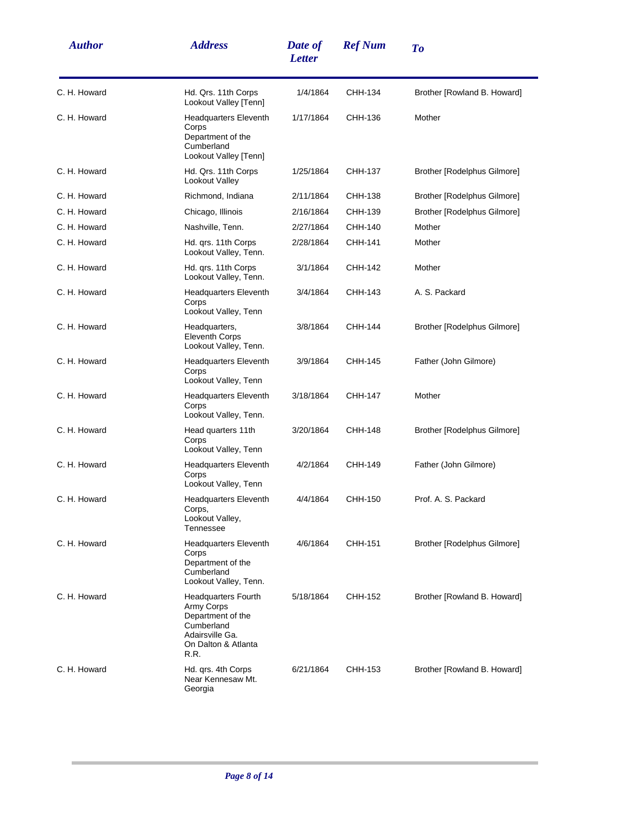| <b>Author</b> | <b>Address</b>                                                                                                                | Date of<br><b>Letter</b> | <b>Ref Num</b> | To                          |
|---------------|-------------------------------------------------------------------------------------------------------------------------------|--------------------------|----------------|-----------------------------|
| C. H. Howard  | Hd. Qrs. 11th Corps<br>Lookout Valley [Tenn]                                                                                  | 1/4/1864                 | CHH-134        | Brother [Rowland B. Howard] |
| C. H. Howard  | <b>Headquarters Eleventh</b><br>Corps<br>Department of the<br>Cumberland<br>Lookout Valley [Tenn]                             | 1/17/1864                | CHH-136        | Mother                      |
| C. H. Howard  | Hd. Qrs. 11th Corps<br>Lookout Valley                                                                                         | 1/25/1864                | CHH-137        | Brother [Rodelphus Gilmore] |
| C. H. Howard  | Richmond, Indiana                                                                                                             | 2/11/1864                | CHH-138        | Brother [Rodelphus Gilmore] |
| C. H. Howard  | Chicago, Illinois                                                                                                             | 2/16/1864                | CHH-139        | Brother [Rodelphus Gilmore] |
| C. H. Howard  | Nashville, Tenn.                                                                                                              | 2/27/1864                | CHH-140        | Mother                      |
| C. H. Howard  | Hd. qrs. 11th Corps<br>Lookout Valley, Tenn.                                                                                  | 2/28/1864                | CHH-141        | Mother                      |
| C. H. Howard  | Hd. qrs. 11th Corps<br>Lookout Valley, Tenn.                                                                                  | 3/1/1864                 | CHH-142        | Mother                      |
| C. H. Howard  | <b>Headquarters Eleventh</b><br>Corps<br>Lookout Valley, Tenn                                                                 | 3/4/1864                 | CHH-143        | A. S. Packard               |
| C. H. Howard  | Headquarters,<br><b>Eleventh Corps</b><br>Lookout Valley, Tenn.                                                               | 3/8/1864                 | CHH-144        | Brother [Rodelphus Gilmore] |
| C. H. Howard  | <b>Headquarters Eleventh</b><br>Corps<br>Lookout Valley, Tenn                                                                 | 3/9/1864                 | CHH-145        | Father (John Gilmore)       |
| C. H. Howard  | <b>Headquarters Eleventh</b><br>Corps<br>Lookout Valley, Tenn.                                                                | 3/18/1864                | <b>CHH-147</b> | Mother                      |
| C. H. Howard  | Head quarters 11th<br>Corps<br>Lookout Valley, Tenn                                                                           | 3/20/1864                | CHH-148        | Brother [Rodelphus Gilmore] |
| C. H. Howard  | <b>Headquarters Eleventh</b><br>Corps<br>Lookout Valley, Tenn                                                                 | 4/2/1864                 | CHH-149        | Father (John Gilmore)       |
| C. H. Howard  | <b>Headquarters Eleventh</b><br>Corps,<br>Lookout Valley,<br>Tennessee                                                        | 4/4/1864                 | CHH-150        | Prof. A. S. Packard         |
| C. H. Howard  | <b>Headquarters Eleventh</b><br>Corps<br>Department of the<br>Cumberland<br>Lookout Valley, Tenn.                             | 4/6/1864                 | CHH-151        | Brother [Rodelphus Gilmore] |
| C. H. Howard  | <b>Headquarters Fourth</b><br>Army Corps<br>Department of the<br>Cumberland<br>Adairsville Ga.<br>On Dalton & Atlanta<br>R.R. | 5/18/1864                | CHH-152        | Brother [Rowland B. Howard] |
| C. H. Howard  | Hd. qrs. 4th Corps<br>Near Kennesaw Mt.<br>Georgia                                                                            | 6/21/1864                | CHH-153        | Brother [Rowland B. Howard] |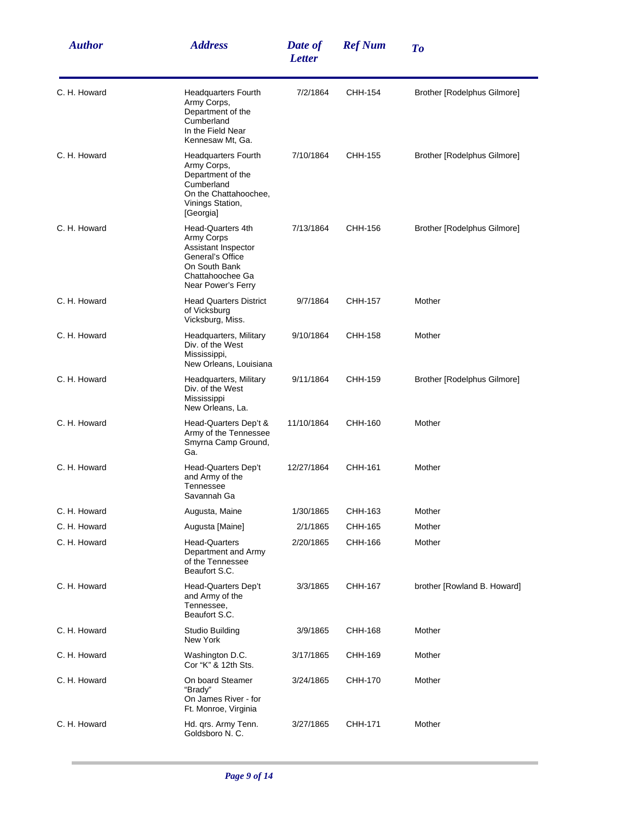| <b>Author</b> | <b>Address</b>                                                                                                                               | Date of<br><b>Letter</b> | <b>Ref Num</b> | To                          |
|---------------|----------------------------------------------------------------------------------------------------------------------------------------------|--------------------------|----------------|-----------------------------|
| C. H. Howard  | <b>Headquarters Fourth</b><br>Army Corps,<br>Department of the<br>Cumberland<br>In the Field Near<br>Kennesaw Mt, Ga.                        | 7/2/1864                 | CHH-154        | Brother [Rodelphus Gilmore] |
| C. H. Howard  | <b>Headquarters Fourth</b><br>Army Corps,<br>Department of the<br>Cumberland<br>On the Chattahoochee,<br>Vinings Station,<br>[Georgia]       | 7/10/1864                | CHH-155        | Brother [Rodelphus Gilmore] |
| C. H. Howard  | Head-Quarters 4th<br><b>Army Corps</b><br>Assistant Inspector<br>General's Office<br>On South Bank<br>Chattahoochee Ga<br>Near Power's Ferry | 7/13/1864                | CHH-156        | Brother [Rodelphus Gilmore] |
| C. H. Howard  | <b>Head Quarters District</b><br>of Vicksburg<br>Vicksburg, Miss.                                                                            | 9/7/1864                 | CHH-157        | Mother                      |
| C. H. Howard  | Headquarters, Military<br>Div. of the West<br>Mississippi,<br>New Orleans, Louisiana                                                         | 9/10/1864                | CHH-158        | Mother                      |
| C. H. Howard  | Headquarters, Military<br>Div. of the West<br>Mississippi<br>New Orleans, La.                                                                | 9/11/1864                | CHH-159        | Brother [Rodelphus Gilmore] |
| C. H. Howard  | Head-Quarters Dep't &<br>Army of the Tennessee<br>Smyrna Camp Ground,<br>Ga.                                                                 | 11/10/1864               | CHH-160        | Mother                      |
| C. H. Howard  | Head-Quarters Dep't<br>and Army of the<br>Tennessee<br>Savannah Ga                                                                           | 12/27/1864               | CHH-161        | Mother                      |
| C. H. Howard  | Augusta, Maine                                                                                                                               | 1/30/1865                | CHH-163        | Mother                      |
| C. H. Howard  | Augusta [Maine]                                                                                                                              | 2/1/1865                 | CHH-165        | Mother                      |
| C. H. Howard  | <b>Head-Quarters</b><br>Department and Army<br>of the Tennessee<br>Beaufort S.C.                                                             | 2/20/1865                | CHH-166        | Mother                      |
| C. H. Howard  | <b>Head-Quarters Dep't</b><br>and Army of the<br>Tennessee,<br>Beaufort S.C.                                                                 | 3/3/1865                 | CHH-167        | brother [Rowland B. Howard] |
| C. H. Howard  | Studio Building<br>New York                                                                                                                  | 3/9/1865                 | CHH-168        | Mother                      |
| C. H. Howard  | Washington D.C.<br>Cor "K" & 12th Sts.                                                                                                       | 3/17/1865                | CHH-169        | Mother                      |
| C. H. Howard  | On board Steamer<br>"Brady"<br>On James River - for<br>Ft. Monroe, Virginia                                                                  | 3/24/1865                | CHH-170        | Mother                      |
| C. H. Howard  | Hd. qrs. Army Tenn.<br>Goldsboro N. C.                                                                                                       | 3/27/1865                | CHH-171        | Mother                      |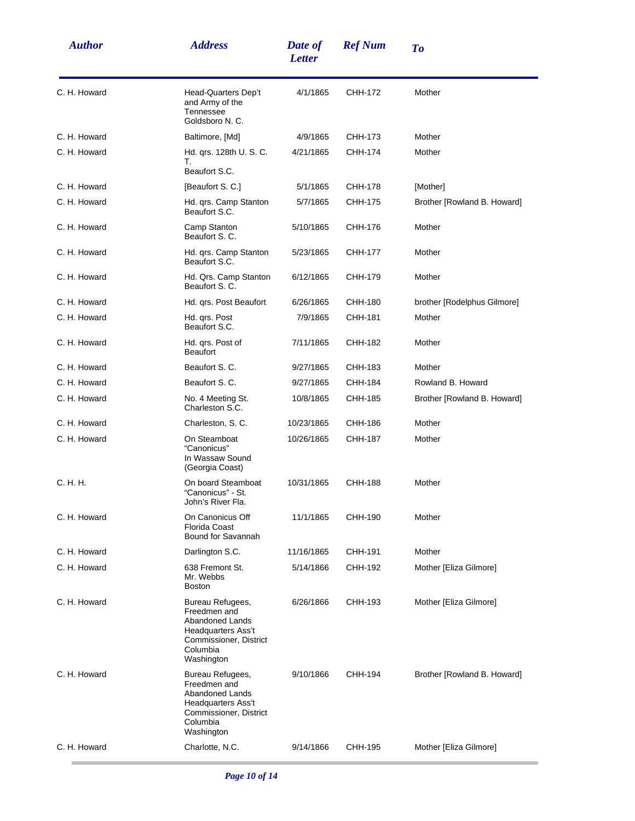| <b>Author</b> | <b>Address</b>                                                                                                                       | Date of<br><b>Letter</b> | <b>Ref Num</b> | To                          |
|---------------|--------------------------------------------------------------------------------------------------------------------------------------|--------------------------|----------------|-----------------------------|
| C. H. Howard  | Head-Quarters Dep't<br>and Army of the<br>Tennessee<br>Goldsboro N. C.                                                               | 4/1/1865                 | CHH-172        | Mother                      |
| C. H. Howard  | Baltimore, [Md]                                                                                                                      | 4/9/1865                 | CHH-173        | Mother                      |
| C. H. Howard  | Hd. qrs. 128th U. S. C.<br>Т.<br>Beaufort S.C.                                                                                       | 4/21/1865                | CHH-174        | Mother                      |
| C. H. Howard  | [Beaufort S. C.]                                                                                                                     | 5/1/1865                 | CHH-178        | [Mother]                    |
| C. H. Howard  | Hd. qrs. Camp Stanton<br>Beaufort S.C.                                                                                               | 5/7/1865                 | CHH-175        | Brother [Rowland B. Howard] |
| C. H. Howard  | Camp Stanton<br>Beaufort S. C.                                                                                                       | 5/10/1865                | CHH-176        | Mother                      |
| C. H. Howard  | Hd. qrs. Camp Stanton<br>Beaufort S.C.                                                                                               | 5/23/1865                | CHH-177        | Mother                      |
| C. H. Howard  | Hd. Qrs. Camp Stanton<br>Beaufort S. C.                                                                                              | 6/12/1865                | CHH-179        | Mother                      |
| C. H. Howard  | Hd. qrs. Post Beaufort                                                                                                               | 6/26/1865                | CHH-180        | brother [Rodelphus Gilmore] |
| C. H. Howard  | Hd. grs. Post<br>Beaufort S.C.                                                                                                       | 7/9/1865                 | CHH-181        | Mother                      |
| C. H. Howard  | Hd. qrs. Post of<br><b>Beaufort</b>                                                                                                  | 7/11/1865                | CHH-182        | Mother                      |
| C. H. Howard  | Beaufort S. C.                                                                                                                       | 9/27/1865                | CHH-183        | Mother                      |
| C. H. Howard  | Beaufort S. C.                                                                                                                       | 9/27/1865                | CHH-184        | Rowland B. Howard           |
| C. H. Howard  | No. 4 Meeting St.<br>Charleston S.C.                                                                                                 | 10/8/1865                | CHH-185        | Brother [Rowland B. Howard] |
| C. H. Howard  | Charleston, S. C.                                                                                                                    | 10/23/1865               | CHH-186        | Mother                      |
| C. H. Howard  | On Steamboat<br>"Canonicus"<br>In Wassaw Sound<br>(Georgia Coast)                                                                    | 10/26/1865               | CHH-187        | Mother                      |
| C. H. H.      | On board Steamboat<br>"Canonicus" - St.<br>John's River Fla.                                                                         | 10/31/1865               | CHH-188        | Mother                      |
| C. H. Howard  | On Canonicus Off<br>Florida Coast<br>Bound for Savannah                                                                              | 11/1/1865                | CHH-190        | Mother                      |
| C. H. Howard  | Darlington S.C.                                                                                                                      | 11/16/1865               | CHH-191        | Mother                      |
| C. H. Howard  | 638 Fremont St.<br>Mr. Webbs<br><b>Boston</b>                                                                                        | 5/14/1866                | CHH-192        | Mother [Eliza Gilmore]      |
| C. H. Howard  | Bureau Refugees,<br>Freedmen and<br>Abandoned Lands<br><b>Headquarters Ass't</b><br>Commissioner, District<br>Columbia<br>Washington | 6/26/1866                | CHH-193        | Mother [Eliza Gilmore]      |
| C. H. Howard  | Bureau Refugees,<br>Freedmen and<br><b>Abandoned Lands</b><br>Headquarters Ass't<br>Commissioner, District<br>Columbia<br>Washington | 9/10/1866                | CHH-194        | Brother [Rowland B. Howard] |
| C. H. Howard  | Charlotte, N.C.                                                                                                                      | 9/14/1866                | CHH-195        | Mother [Eliza Gilmore]      |
|               |                                                                                                                                      |                          |                |                             |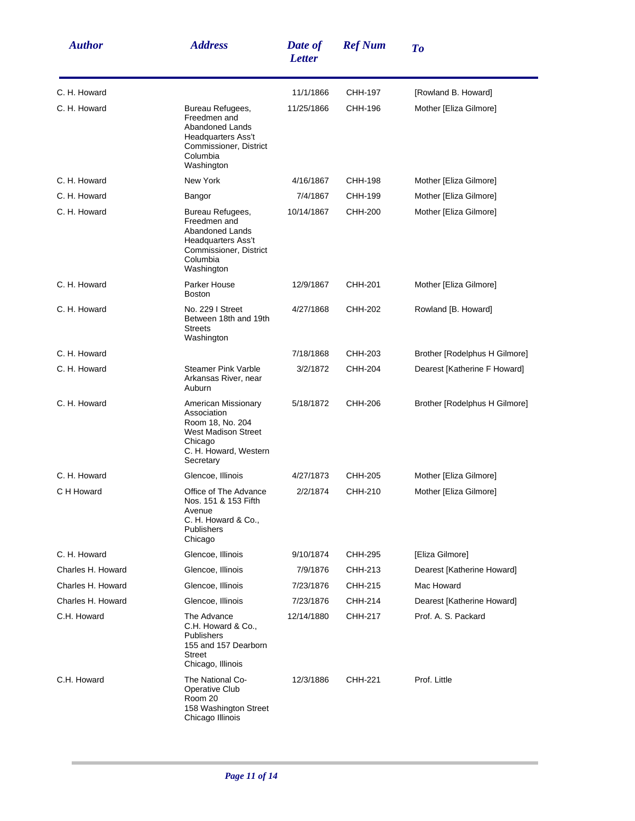| <b>Author</b>     | <b>Address</b>                                                                                                                        | Date of<br><b>Letter</b> | <b>Ref Num</b> | To                            |
|-------------------|---------------------------------------------------------------------------------------------------------------------------------------|--------------------------|----------------|-------------------------------|
| C. H. Howard      |                                                                                                                                       | 11/1/1866                | CHH-197        | [Rowland B. Howard]           |
| C. H. Howard      | Bureau Refugees,<br>Freedmen and<br>Abandoned Lands<br>Headquarters Ass't<br>Commissioner, District<br>Columbia<br>Washington         | 11/25/1866               | CHH-196        | Mother [Eliza Gilmore]        |
| C. H. Howard      | New York                                                                                                                              | 4/16/1867                | CHH-198        | Mother [Eliza Gilmore]        |
| C. H. Howard      | Bangor                                                                                                                                | 7/4/1867                 | CHH-199        | Mother [Eliza Gilmore]        |
| C. H. Howard      | Bureau Refugees,<br>Freedmen and<br>Abandoned Lands<br>Headquarters Ass't<br>Commissioner, District<br>Columbia<br>Washington         | 10/14/1867               | CHH-200        | Mother [Eliza Gilmore]        |
| C. H. Howard      | Parker House<br><b>Boston</b>                                                                                                         | 12/9/1867                | CHH-201        | Mother [Eliza Gilmore]        |
| C. H. Howard      | No. 229   Street<br>Between 18th and 19th<br><b>Streets</b><br>Washington                                                             | 4/27/1868                | CHH-202        | Rowland [B. Howard]           |
| C. H. Howard      |                                                                                                                                       | 7/18/1868                | CHH-203        | Brother [Rodelphus H Gilmore] |
| C. H. Howard      | <b>Steamer Pink Varble</b><br>Arkansas River, near<br>Auburn                                                                          | 3/2/1872                 | CHH-204        | Dearest [Katherine F Howard]  |
| C. H. Howard      | American Missionary<br>Association<br>Room 18, No. 204<br><b>West Madison Street</b><br>Chicago<br>C. H. Howard, Western<br>Secretary | 5/18/1872                | CHH-206        | Brother [Rodelphus H Gilmore] |
| C. H. Howard      | Glencoe, Illinois                                                                                                                     | 4/27/1873                | CHH-205        | Mother [Eliza Gilmore]        |
| C H Howard        | Office of The Advance<br>Nos. 151 & 153 Fifth<br>Avenue<br>C. H. Howard & Co.,<br>Publishers<br>Chicago                               | 2/2/1874                 | CHH-210        | Mother [Eliza Gilmore]        |
| C. H. Howard      | Glencoe, Illinois                                                                                                                     | 9/10/1874                | CHH-295        | [Eliza Gilmore]               |
| Charles H. Howard | Glencoe, Illinois                                                                                                                     | 7/9/1876                 | CHH-213        | Dearest [Katherine Howard]    |
| Charles H. Howard | Glencoe, Illinois                                                                                                                     | 7/23/1876                | CHH-215        | Mac Howard                    |
| Charles H. Howard | Glencoe, Illinois                                                                                                                     | 7/23/1876                | CHH-214        | Dearest [Katherine Howard]    |
| C.H. Howard       | The Advance<br>C.H. Howard & Co.,<br><b>Publishers</b><br>155 and 157 Dearborn<br><b>Street</b><br>Chicago, Illinois                  | 12/14/1880               | CHH-217        | Prof. A. S. Packard           |
| C.H. Howard       | The National Co-<br>Operative Club<br>Room 20<br>158 Washington Street<br>Chicago Illinois                                            | 12/3/1886                | CHH-221        | Prof. Little                  |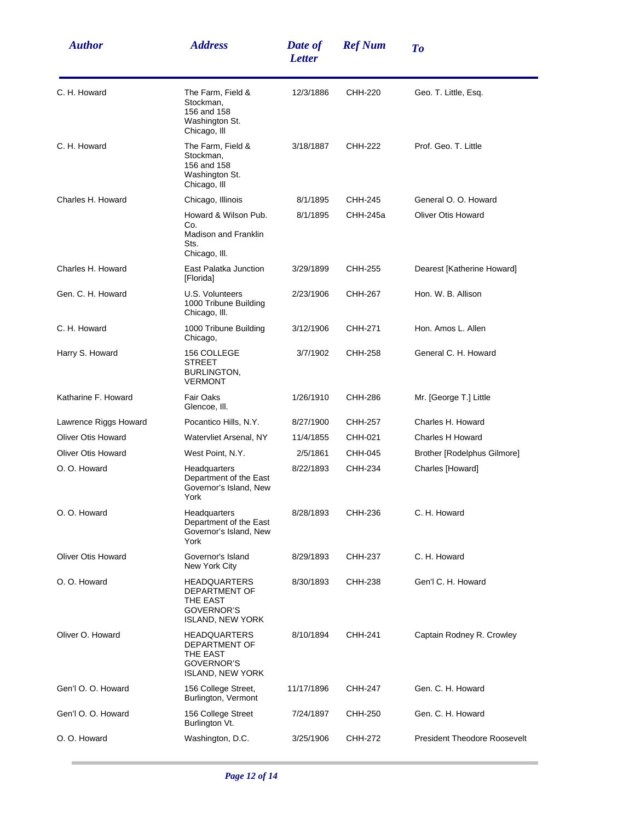| <b>Author</b>             | <b>Address</b>                                                                            | Date of<br><b>Letter</b> | <b>Ref Num</b> | To                                  |
|---------------------------|-------------------------------------------------------------------------------------------|--------------------------|----------------|-------------------------------------|
| C. H. Howard              | The Farm, Field &<br>Stockman,<br>156 and 158<br>Washington St.<br>Chicago, III           | 12/3/1886                | CHH-220        | Geo. T. Little, Esq.                |
| C. H. Howard              | The Farm, Field &<br>Stockman,<br>156 and 158<br>Washington St.<br>Chicago, Ill           | 3/18/1887                | CHH-222        | Prof. Geo. T. Little                |
| Charles H. Howard         | Chicago, Illinois                                                                         | 8/1/1895                 | CHH-245        | General O. O. Howard                |
|                           | Howard & Wilson Pub.<br>Co.<br><b>Madison and Franklin</b><br>Sts.<br>Chicago, III.       | 8/1/1895                 | CHH-245a       | <b>Oliver Otis Howard</b>           |
| Charles H. Howard         | East Palatka Junction<br>[Florida]                                                        | 3/29/1899                | CHH-255        | Dearest [Katherine Howard]          |
| Gen. C. H. Howard         | U.S. Volunteers<br>1000 Tribune Building<br>Chicago, III.                                 | 2/23/1906                | CHH-267        | Hon. W. B. Allison                  |
| C. H. Howard              | 1000 Tribune Building<br>Chicago,                                                         | 3/12/1906                | CHH-271        | Hon. Amos L. Allen                  |
| Harry S. Howard           | 156 COLLEGE<br><b>STREET</b><br>BURLINGTON,<br><b>VERMONT</b>                             | 3/7/1902                 | CHH-258        | General C. H. Howard                |
| Katharine F. Howard       | <b>Fair Oaks</b><br>Glencoe, III.                                                         | 1/26/1910                | CHH-286        | Mr. [George T.] Little              |
| Lawrence Riggs Howard     | Pocantico Hills, N.Y.                                                                     | 8/27/1900                | CHH-257        | Charles H. Howard                   |
| <b>Oliver Otis Howard</b> | Watervliet Arsenal, NY                                                                    | 11/4/1855                | CHH-021        | Charles H Howard                    |
| Oliver Otis Howard        | West Point, N.Y.                                                                          | 2/5/1861                 | CHH-045        | Brother [Rodelphus Gilmore]         |
| O. O. Howard              | Headquarters<br>Department of the East<br>Governor's Island, New<br>York                  | 8/22/1893                | CHH-234        | Charles [Howard]                    |
| O. O. Howard              | Headquarters<br>Department of the East<br>Governor's Island, New<br>York                  | 8/28/1893                | CHH-236        | C. H. Howard                        |
| <b>Oliver Otis Howard</b> | Governor's Island<br>New York City                                                        | 8/29/1893                | CHH-237        | C. H. Howard                        |
| O. O. Howard              | <b>HEADQUARTERS</b><br>DEPARTMENT OF<br>THE EAST<br>GOVERNOR'S<br><b>ISLAND, NEW YORK</b> | 8/30/1893                | CHH-238        | Gen'l C. H. Howard                  |
| Oliver O. Howard          | <b>HEADQUARTERS</b><br>DEPARTMENT OF<br>THE EAST<br>GOVERNOR'S<br><b>ISLAND, NEW YORK</b> | 8/10/1894                | CHH-241        | Captain Rodney R. Crowley           |
| Gen'l O. O. Howard        | 156 College Street,<br>Burlington, Vermont                                                | 11/17/1896               | CHH-247        | Gen. C. H. Howard                   |
| Gen'l O. O. Howard        | 156 College Street<br>Burlington Vt.                                                      | 7/24/1897                | CHH-250        | Gen. C. H. Howard                   |
| O. O. Howard              | Washington, D.C.                                                                          | 3/25/1906                | CHH-272        | <b>President Theodore Roosevelt</b> |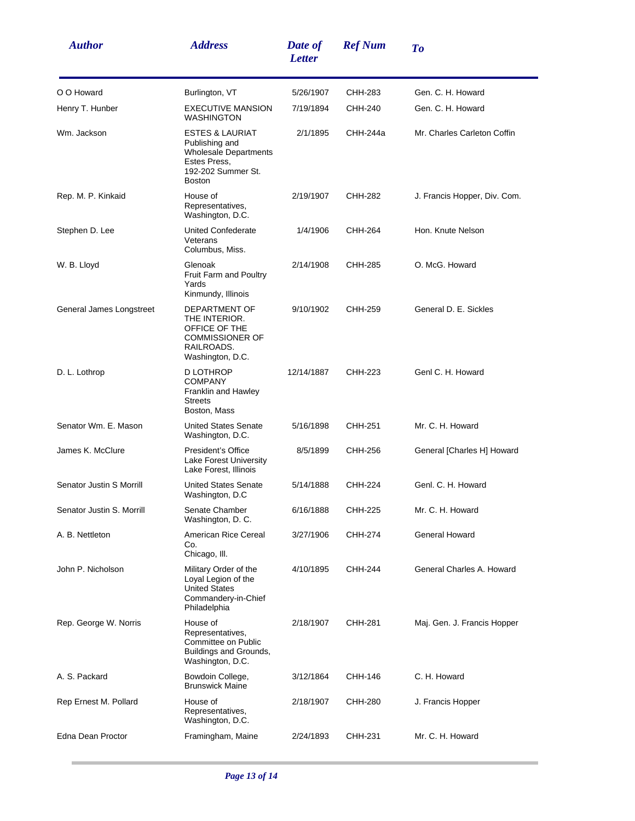| <b>Author</b>             | <b>Address</b>                                                                                                                      | Date of<br><b>Letter</b> | <b>Ref Num</b> | To                           |
|---------------------------|-------------------------------------------------------------------------------------------------------------------------------------|--------------------------|----------------|------------------------------|
| O O Howard                | Burlington, VT                                                                                                                      | 5/26/1907                | CHH-283        | Gen. C. H. Howard            |
| Henry T. Hunber           | <b>EXECUTIVE MANSION</b><br><b>WASHINGTON</b>                                                                                       | 7/19/1894                | CHH-240        | Gen. C. H. Howard            |
| Wm. Jackson               | <b>ESTES &amp; LAURIAT</b><br>Publishing and<br><b>Wholesale Departments</b><br>Estes Press,<br>192-202 Summer St.<br><b>Boston</b> | 2/1/1895                 | CHH-244a       | Mr. Charles Carleton Coffin  |
| Rep. M. P. Kinkaid        | House of<br>Representatives,<br>Washington, D.C.                                                                                    | 2/19/1907                | CHH-282        | J. Francis Hopper, Div. Com. |
| Stephen D. Lee            | United Confederate<br>Veterans<br>Columbus, Miss.                                                                                   | 1/4/1906                 | CHH-264        | Hon. Knute Nelson            |
| W. B. Lloyd               | Glenoak<br><b>Fruit Farm and Poultry</b><br>Yards<br>Kinmundy, Illinois                                                             | 2/14/1908                | CHH-285        | O. McG. Howard               |
| General James Longstreet  | DEPARTMENT OF<br>THE INTERIOR.<br>OFFICE OF THE<br><b>COMMISSIONER OF</b><br>RAILROADS.<br>Washington, D.C.                         | 9/10/1902                | CHH-259        | General D. E. Sickles        |
| D. L. Lothrop             | D LOTHROP<br><b>COMPANY</b><br>Franklin and Hawley<br><b>Streets</b><br>Boston, Mass                                                | 12/14/1887               | CHH-223        | Genl C. H. Howard            |
| Senator Wm. E. Mason      | <b>United States Senate</b><br>Washington, D.C.                                                                                     | 5/16/1898                | CHH-251        | Mr. C. H. Howard             |
| James K. McClure          | President's Office<br>Lake Forest University<br>Lake Forest, Illinois                                                               | 8/5/1899                 | CHH-256        | General [Charles H] Howard   |
| Senator Justin S Morrill  | <b>United States Senate</b><br>Washington, D.C                                                                                      | 5/14/1888                | CHH-224        | Genl. C. H. Howard           |
| Senator Justin S. Morrill | Senate Chamber<br>Washington, D. C.                                                                                                 | 6/16/1888                | CHH-225        | Mr. C. H. Howard             |
| A. B. Nettleton           | American Rice Cereal<br>Co.<br>Chicago, III.                                                                                        | 3/27/1906                | CHH-274        | General Howard               |
| John P. Nicholson         | Military Order of the<br>Loyal Legion of the<br><b>United States</b><br>Commandery-in-Chief<br>Philadelphia                         | 4/10/1895                | CHH-244        | General Charles A. Howard    |
| Rep. George W. Norris     | House of<br>Representatives,<br>Committee on Public<br>Buildings and Grounds,<br>Washington, D.C.                                   | 2/18/1907                | CHH-281        | Maj. Gen. J. Francis Hopper  |
| A. S. Packard             | Bowdoin College,<br><b>Brunswick Maine</b>                                                                                          | 3/12/1864                | CHH-146        | C. H. Howard                 |
| Rep Ernest M. Pollard     | House of<br>Representatives,<br>Washington, D.C.                                                                                    | 2/18/1907                | CHH-280        | J. Francis Hopper            |
| Edna Dean Proctor         | Framingham, Maine                                                                                                                   | 2/24/1893                | CHH-231        | Mr. C. H. Howard             |